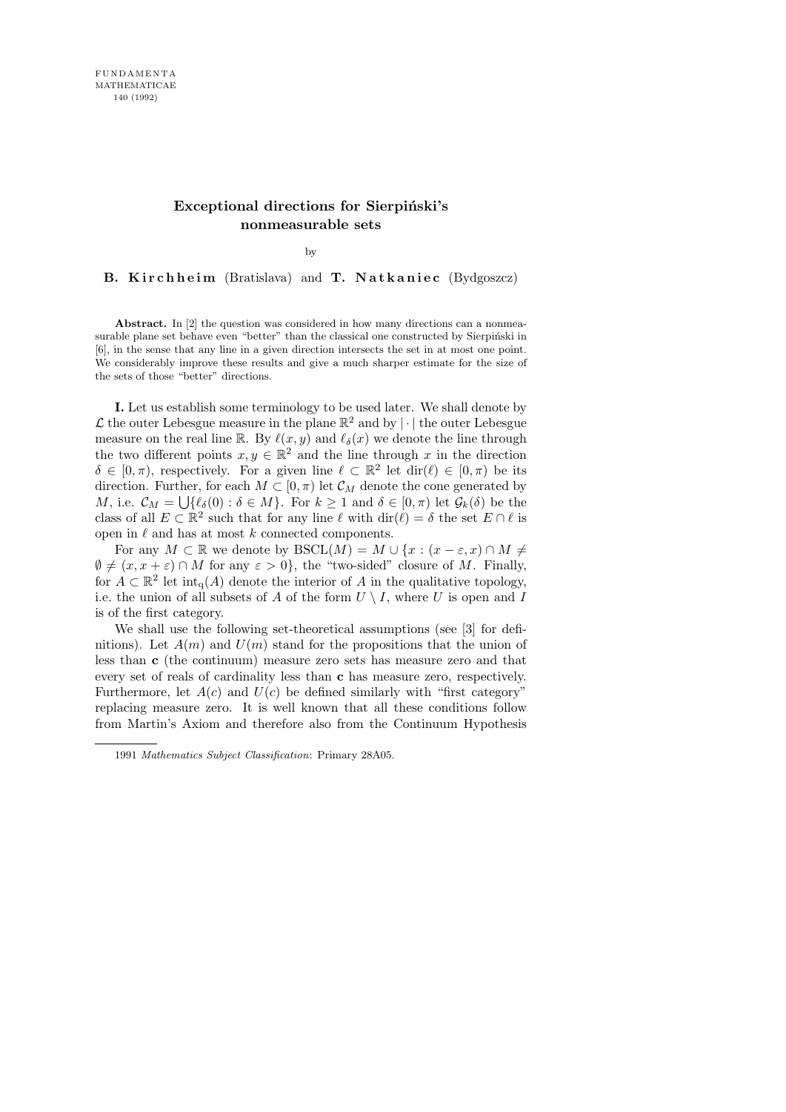## Exceptional directions for Sierpiński's nonmeasurable sets

by

B. Kirchheim (Bratislava) and T. Natkaniec (Bydgoszcz)

Abstract. In [2] the question was considered in how many directions can a nonmeasurable plane set behave even "better" than the classical one constructed by Sierpiński in [6], in the sense that any line in a given direction intersects the set in at most one point. We considerably improve these results and give a much sharper estimate for the size of the sets of those "better" directions.

I. Let us establish some terminology to be used later. We shall denote by L the outer Lebesgue measure in the plane  $\mathbb{R}^2$  and by  $|\cdot|$  the outer Lebesgue measure on the real line R. By  $\ell(x, y)$  and  $\ell_{\delta}(x)$  we denote the line through the two different points  $x, y \in \mathbb{R}^2$  and the line through x in the direction  $\delta \in [0, \pi)$ , respectively. For a given line  $\ell \subset \mathbb{R}^2$  let  $\text{dir}(\ell) \in [0, \pi)$  be its direction. Further, for each  $M\subset [0,\pi)$  let  $\mathcal{C}_M$  denote the cone generated by M, i.e.  $\mathcal{C}_M = \bigcup \{ \ell_{\delta}(0) : \delta \in M \}$ . For  $k \geq 1$  and  $\delta \in [0, \pi)$  let  $\mathcal{G}_k(\delta)$  be the class of all  $E \subset \mathbb{R}^2$  such that for any line  $\ell$  with  $\text{dir}(\ell) = \delta$  the set  $E \cap \ell$  is open in  $\ell$  and has at most k connected components.

For any  $M \subset \mathbb{R}$  we denote by  $\text{BSCL}(M) = M \cup \{x : (x - \varepsilon, x) \cap M \neq \emptyset\}$  $\emptyset \neq (x, x + \varepsilon) \cap M$  for any  $\varepsilon > 0$ , the "two-sided" closure of M. Finally, for  $A \subset \mathbb{R}^2$  let  $\text{int}_{q}(A)$  denote the interior of A in the qualitative topology, i.e. the union of all subsets of A of the form  $U \setminus I$ , where U is open and I is of the first category.

We shall use the following set-theoretical assumptions (see [3] for definitions). Let  $A(m)$  and  $U(m)$  stand for the propositions that the union of less than c (the continuum) measure zero sets has measure zero and that every set of reals of cardinality less than c has measure zero, respectively. Furthermore, let  $A(c)$  and  $U(c)$  be defined similarly with "first category" replacing measure zero. It is well known that all these conditions follow from Martin's Axiom and therefore also from the Continuum Hypothesis

<sup>1991</sup> Mathematics Subject Classification: Primary 28A05.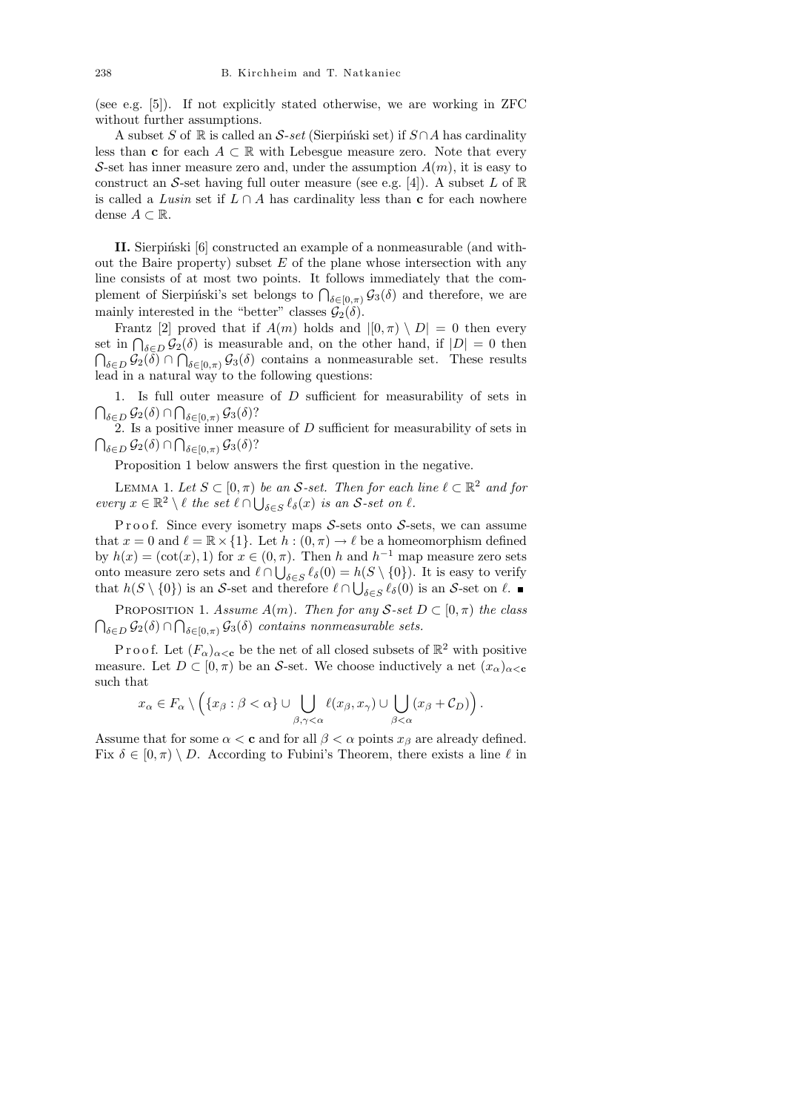(see e.g. [5]). If not explicitly stated otherwise, we are working in ZFC without further assumptions.

A subset S of R is called an S-set (Sierpinski set) if  $S \cap A$  has cardinality less than c for each  $A \subset \mathbb{R}$  with Lebesgue measure zero. Note that every S-set has inner measure zero and, under the assumption  $A(m)$ , it is easy to construct an S-set having full outer measure (see e.g. [4]). A subset L of  $\mathbb R$ is called a Lusin set if  $L \cap A$  has cardinality less than c for each nowhere dense  $A \subset \mathbb{R}$ .

II. Sierpiński [6] constructed an example of a nonmeasurable (and without the Baire property) subset  $E$  of the plane whose intersection with any line consists of at most two points. It follows immediately that the complement of Sierpiński's set belongs to  $\bigcap_{\delta \in [0,\pi)} \mathcal{G}_3(\delta)$  and therefore, we are mainly interested in the "better" classes  $\mathcal{G}_2(\delta)$ .

Frantz [2] proved that if  $A(m)$  holds and  $|[0, \pi) \setminus D| = 0$  then every set in  $\bigcap_{\delta \in D} \mathcal{G}_2(\delta)$  is measurable and, on the other hand, if  $|D| = 0$  then  $\bigcap_{\delta \in D} \mathcal{G}_2(\delta) \cap \bigcap_{\delta \in [0,\pi)} \mathcal{G}_3(\delta)$  contains a nonmeasurable set. These results lead in a natural way to the following questions:

1. Is full outer measure of D sufficient for measurability of sets in  $\bigcap_{\delta \in D} \mathcal{G}_2(\delta) \cap \bigcap_{\delta \in [0,\pi)} \mathcal{G}_3(\delta)$ ?

2. Is a positive inner measure of D sufficient for measurability of sets in  $\bigcap_{\delta\in D}\mathcal{G}_2(\delta)\cap\bigcap_{\delta\in[0,\pi)}\mathcal{G}_3(\delta)?$ 

Proposition 1 below answers the first question in the negative.

LEMMA 1. Let  $S \subset [0, \pi)$  be an S-set. Then for each line  $\ell \subset \mathbb{R}^2$  and for every  $x \in \mathbb{R}^2 \setminus \ell$  the set  $\ell \cap \bigcup_{\delta \in S} \ell_{\delta}(x)$  is an S-set on  $\ell$ .

P r o o f. Since every isometry maps  $S$ -sets onto  $S$ -sets, we can assume that  $x = 0$  and  $\ell = \mathbb{R} \times \{1\}$ . Let  $h : (0, \pi) \to \ell$  be a homeomorphism defined by  $h(x) = (\cot(x), 1)$  for  $x \in (0, \pi)$ . Then h and  $h^{-1}$  map measure zero sets onto measure zero sets and  $\ell \cap \bigcup_{\delta \in S} \ell_{\delta}(0) = h(S \setminus \{0\})$ . It is easy to verify that  $h(S \setminus \{0\})$  is an S-set and therefore  $\ell \cap \bigcup_{\delta \in S} \ell_{\delta}(0)$  is an S-set on  $\ell$ .

PROPOSITION 1. Assume  $A(m)$ . Then for any S-set  $D \subset [0, \pi)$  the class  $\bigcap_{\delta \in D} \mathcal{G}_2(\delta) \cap \bigcap_{\delta \in [0,\pi)} \mathcal{G}_3(\delta)$  contains nonmeasurable sets.

P r o o f. Let  $(F_\alpha)_{\alpha<\mathbf{c}}$  be the net of all closed subsets of  $\mathbb{R}^2$  with positive measure. Let  $D \subset [0, \pi)$  be an S-set. We choose inductively a net  $(x_{\alpha})_{\alpha < \mathbf{c}}$ such that

$$
x_{\alpha} \in F_{\alpha} \setminus \left( \{ x_{\beta} : \beta < \alpha \} \cup \bigcup_{\beta, \gamma < \alpha} \ell(x_{\beta}, x_{\gamma}) \cup \bigcup_{\beta < \alpha} (x_{\beta} + C_D) \right).
$$

Assume that for some  $\alpha < c$  and for all  $\beta < \alpha$  points  $x_{\beta}$  are already defined. Fix  $\delta \in [0, \pi) \setminus D$ . According to Fubini's Theorem, there exists a line  $\ell$  in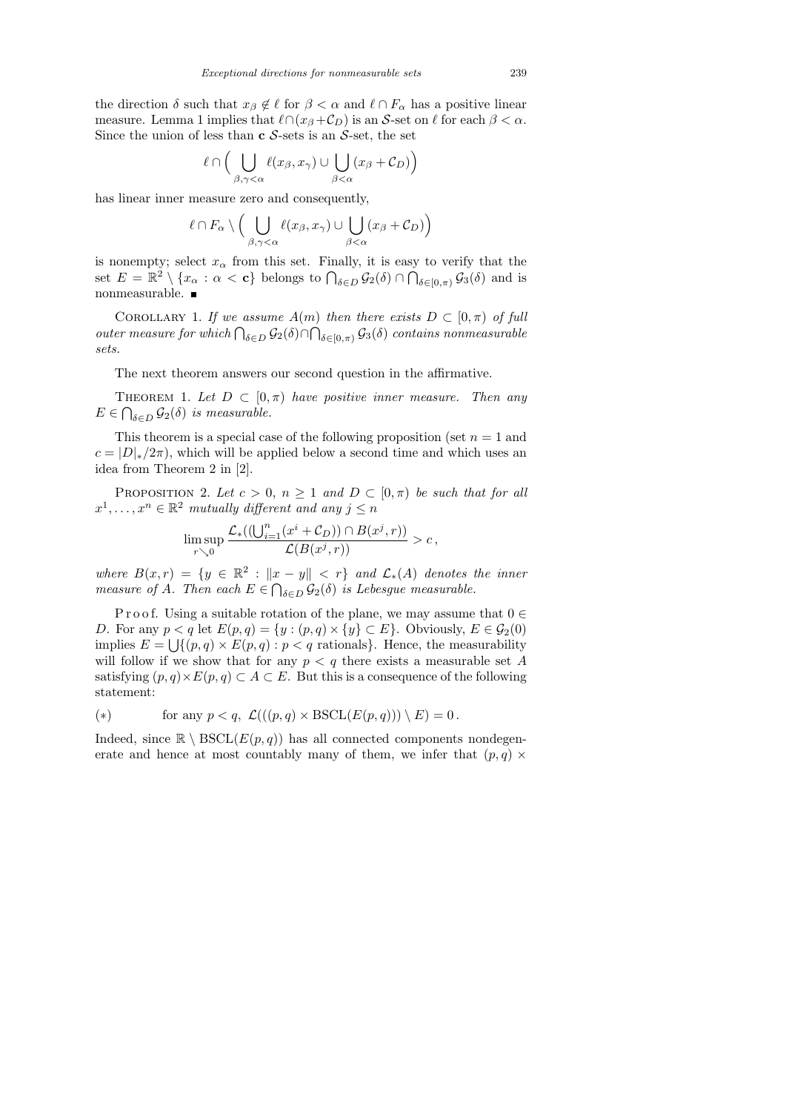the direction  $\delta$  such that  $x_{\beta} \notin \ell$  for  $\beta < \alpha$  and  $\ell \cap F_{\alpha}$  has a positive linear measure. Lemma 1 implies that  $\ell \cap (x_{\beta} + C_D)$  is an S-set on  $\ell$  for each  $\beta < \alpha$ . Since the union of less than  $\mathbf c$  S-sets is an S-set, the set

$$
\ell \cap \Big(\bigcup_{\beta,\gamma<\alpha} \ell(x_{\beta},x_{\gamma}) \cup \bigcup_{\beta<\alpha} (x_{\beta} + C_D)\Big)
$$

has linear inner measure zero and consequently,

$$
\ell \cap F_{\alpha} \setminus \Big( \bigcup_{\beta, \gamma < \alpha} \ell(x_{\beta}, x_{\gamma}) \cup \bigcup_{\beta < \alpha} (x_{\beta} + C_D) \Big)
$$

is nonempty; select  $x_{\alpha}$  from this set. Finally, it is easy to verify that the set  $E = \mathbb{R}^2 \setminus \{x_\alpha : \alpha < c\}$  belongs to  $\bigcap_{\delta \in D} \mathcal{G}_2(\delta) \cap \bigcap_{\delta \in [0,\pi)} \mathcal{G}_3(\delta)$  and is nonmeasurable.  $\blacksquare$ 

COROLLARY 1. If we assume  $A(m)$  then there exists  $D \subset [0, \pi)$  of full outer measure for which  $\bigcap_{\delta \in D} \mathcal{G}_2(\delta) \cap \bigcap_{\delta \in [0,\pi)} \mathcal{G}_3(\delta)$  contains nonmeasurable sets.

The next theorem answers our second question in the affirmative.

THEOREM 1. Let  $D \subset [0, \pi)$  have positive inner measure. Then any  $E \in \bigcap_{\delta \in D} \mathcal{G}_2(\delta)$  is measurable.

This theorem is a special case of the following proposition (set  $n = 1$  and  $c = |D|_*/2\pi$ , which will be applied below a second time and which uses an idea from Theorem 2 in [2].

PROPOSITION 2. Let  $c > 0$ ,  $n \ge 1$  and  $D \subset [0, \pi)$  be such that for all  $x^1, \ldots, x^n \in \mathbb{R}^2$  mutually different and any  $j \leq n$ 

$$
\limsup_{r\searrow 0}\frac{\mathcal{L}_*((\bigcup_{i=1}^n(x^i+\mathcal{C}_D))\cap B(x^j,r))}{\mathcal{L}(B(x^j,r))}>c\,,
$$

where  $B(x,r) = \{y \in \mathbb{R}^2 : ||x - y|| < r\}$  and  $\mathcal{L}_*(A)$  denotes the inner measure of A. Then each  $E \in \bigcap_{\delta \in D} \mathcal{G}_2(\delta)$  is Lebesgue measurable.

P r o o f. Using a suitable rotation of the plane, we may assume that  $0 \in$ D. For any  $p < q$  let  $E(p,q) = \{y : (p,q) \times \{y\} \subset E\}$ . Obviously,  $E \in \mathcal{G}_2(0)$ implies  $E = \bigcup \{ (p, q) \times E(p, q) : p < q \text{ rationals} \}.$  Hence, the measurability will follow if we show that for any  $p < q$  there exists a measurable set A satisfying  $(p, q) \times E(p, q) \subset A \subset E$ . But this is a consequence of the following statement:

$$
(*) \tfor any  $p < q$ ,  $\mathcal{L}(((p,q) \times \text{BSCL}(E(p,q))) \setminus E) = 0.$
$$

Indeed, since  $\mathbb{R} \setminus \text{BSCL}(E(p,q))$  has all connected components nondegenerate and hence at most countably many of them, we infer that  $(p, q)$  ×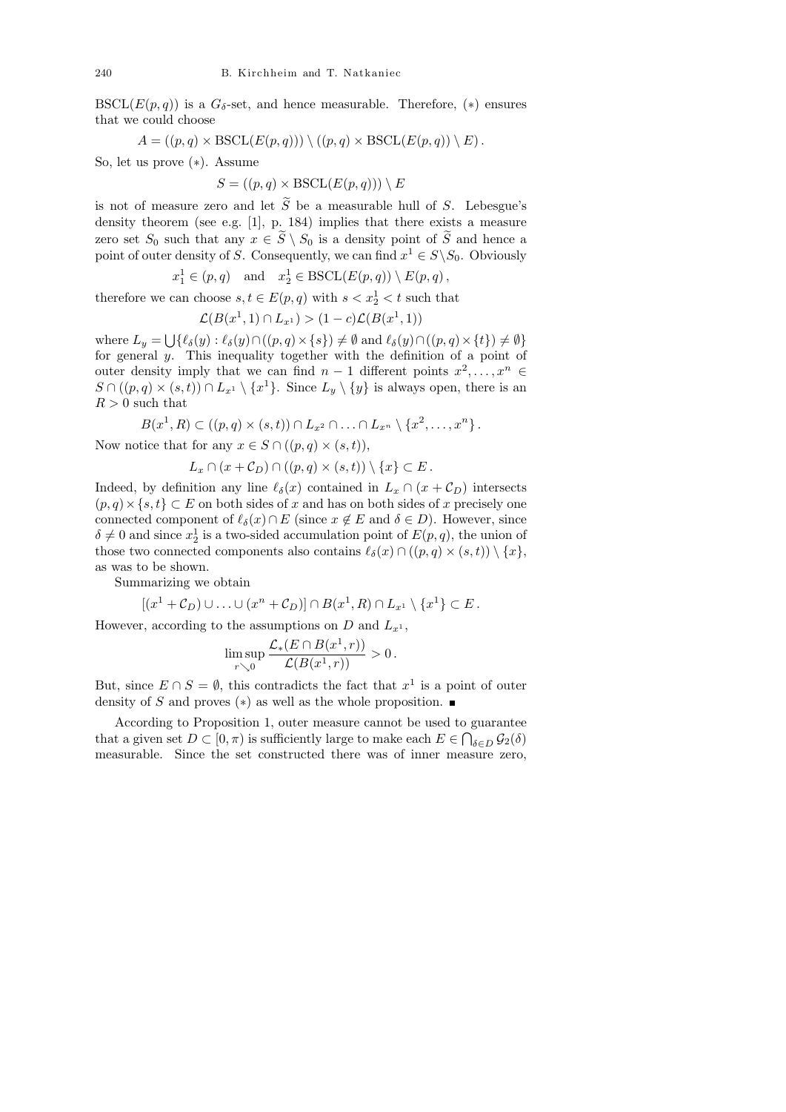BSCL( $E(p,q)$ ) is a  $G_{\delta}$ -set, and hence measurable. Therefore, (\*) ensures that we could choose

$$
A = ((p, q) \times \text{BSCL}(E(p, q))) \setminus ((p, q) \times \text{BSCL}(E(p, q)) \setminus E).
$$

So, let us prove (∗). Assume

$$
S = ((p, q) \times \text{BSCL}(E(p, q))) \setminus E
$$

is not of measure zero and let  $\widetilde{S}$  be a measurable hull of S. Lebesgue's density theorem (see e.g. [1], p. 184) implies that there exists a measure zero set  $S_0$  such that any  $x \in \widetilde{S} \setminus S_0$  is a density point of  $\widetilde{S}$  and hence a point of outer density of S. Consequently, we can find  $x^1 \in S \backslash S_0$ . Obviously

$$
x_1^1 \in (p, q)
$$
 and  $x_2^1 \in \text{BSCL}(E(p, q)) \setminus E(p, q)$ ,

therefore we can choose  $s, t \in E(p, q)$  with  $s < x^1$   $\le t$  such that

$$
\mathcal{L}(B(x^1,1)\cap L_{x^1}) > (1-c)\mathcal{L}(B(x^1,1))
$$

where  $L_y = \bigcup \{ \ell_{\delta}(y) : \ell_{\delta}(y) \cap ((p, q) \times \{s\}) \neq \emptyset \text{ and } \ell_{\delta}(y) \cap ((p, q) \times \{t\}) \neq \emptyset \}$ for general y. This inequality together with the definition of a point of outer density imply that we can find  $n-1$  different points  $x^2, \ldots, x^n \in$  $S \cap ((p,q) \times (s,t)) \cap L_{x^1} \setminus \{x^1\}.$  Since  $L_y \setminus \{y\}$  is always open, there is an  $R > 0$  such that

$$
B(x^1, R) \subset ((p, q) \times (s, t)) \cap L_{x^2} \cap \ldots \cap L_{x^n} \setminus \{x^2, \ldots, x^n\}.
$$

Now notice that for any  $x \in S \cap ((p,q) \times (s,t)),$ 

$$
L_x \cap (x + C_D) \cap ((p, q) \times (s, t)) \setminus \{x\} \subset E.
$$

Indeed, by definition any line  $\ell_{\delta}(x)$  contained in  $L_x \cap (x + C_D)$  intersects  $(p, q) \times \{s, t\} \subset E$  on both sides of x and has on both sides of x precisely one connected component of  $\ell_{\delta}(x) \cap E$  (since  $x \notin E$  and  $\delta \in D$ ). However, since  $\delta \neq 0$  and since  $x_2^1$  is a two-sided accumulation point of  $E(p, q)$ , the union of those two connected components also contains  $\ell_{\delta}(x) \cap ((p, q) \times (s, t)) \setminus \{x\},\$ as was to be shown.

Summarizing we obtain

$$
[(x^1 + C_D) \cup \ldots \cup (x^n + C_D)] \cap B(x^1, R) \cap L_{x^1} \setminus \{x^1\} \subset E.
$$

However, according to the assumptions on  $D$  and  $L_{x^1}$ ,

$$
\limsup_{r\searrow 0}\frac{\mathcal{L}_*(E\cap B(x^1,r))}{\mathcal{L}(B(x^1,r))}>0.
$$

But, since  $E \cap S = \emptyset$ , this contradicts the fact that  $x^1$  is a point of outer density of S and proves  $(*)$  as well as the whole proposition.

According to Proposition 1, outer measure cannot be used to guarantee that a given set  $D \subset [0, \pi)$  is sufficiently large to make each  $E \in \bigcap_{\delta \in D} \mathcal{G}_2(\delta)$ measurable. Since the set constructed there was of inner measure zero,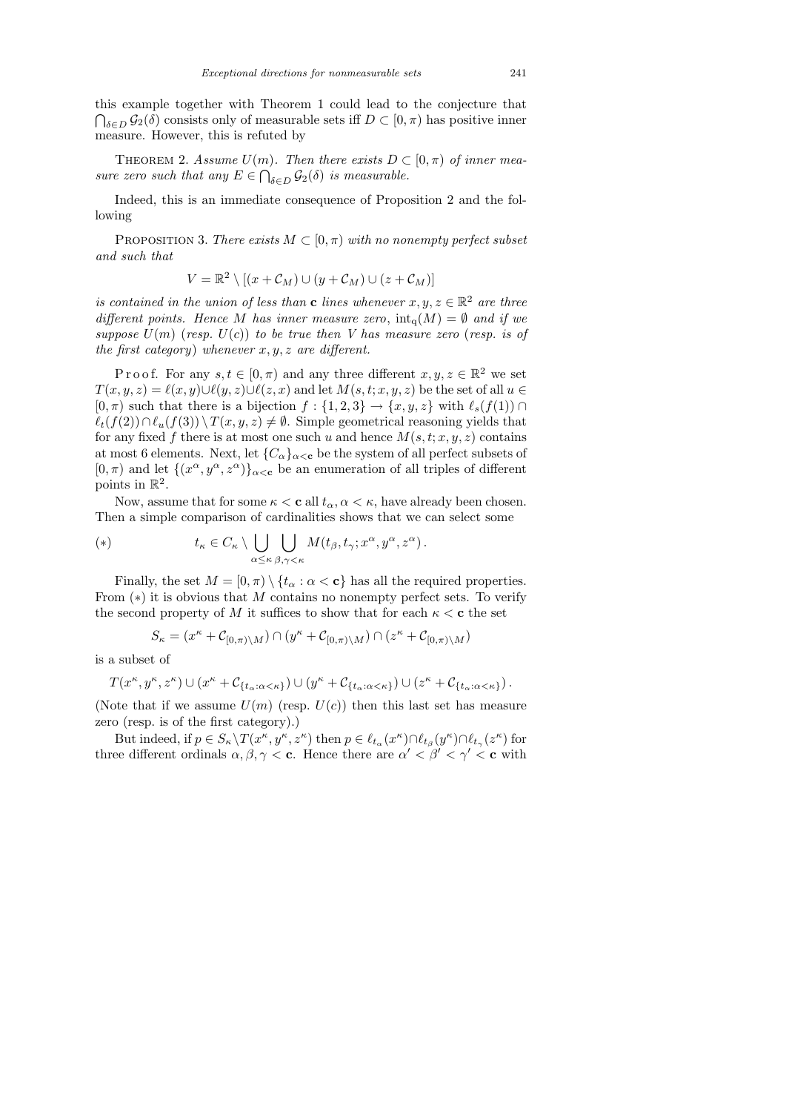this example together with Theorem 1 could lead to the conjecture that  $\bigcap_{\delta \in D} \mathcal{G}_2(\delta)$  consists only of measurable sets iff  $D \subset [0, \pi)$  has positive inner measure. However, this is refuted by

THEOREM 2. Assume  $U(m)$ . Then there exists  $D \subset [0, \pi)$  of inner measure zero such that any  $E \in \bigcap_{\delta \in D} \mathcal{G}_2(\delta)$  is measurable.

Indeed, this is an immediate consequence of Proposition 2 and the following

PROPOSITION 3. There exists  $M \subset [0, \pi)$  with no nonempty perfect subset and such that

$$
V = \mathbb{R}^2 \setminus [(x + \mathcal{C}_M) \cup (y + \mathcal{C}_M) \cup (z + \mathcal{C}_M)]
$$

is contained in the union of less than **c** lines whenever  $x, y, z \in \mathbb{R}^2$  are three different points. Hence M has inner measure zero,  $\text{int}_{q}(M) = \emptyset$  and if we suppose  $U(m)$  (resp.  $U(c)$ ) to be true then V has measure zero (resp. is of the first category) whenever  $x, y, z$  are different.

P r o o f. For any  $s, t \in [0, \pi)$  and any three different  $x, y, z \in \mathbb{R}^2$  we set  $T(x, y, z) = \ell(x, y) \cup \ell(y, z) \cup \ell(z, x)$  and let  $M(s, t; x, y, z)$  be the set of all  $u \in$  $[0, \pi)$  such that there is a bijection  $f : \{1, 2, 3\} \to \{x, y, z\}$  with  $\ell_s(f(1)) \cap$  $\ell_t(f(2)) \cap \ell_u(f(3)) \setminus T(x, y, z) \neq \emptyset$ . Simple geometrical reasoning yields that for any fixed f there is at most one such u and hence  $M(s, t; x, y, z)$  contains at most 6 elements. Next, let  ${C_{\alpha}}_{\alpha<\mathbf{c}}$  be the system of all perfect subsets of  $[0, \pi)$  and let  $\{(x^{\alpha}, y^{\alpha}, z^{\alpha})\}_{\alpha < \mathbf{c}}$  be an enumeration of all triples of different points in  $\mathbb{R}^2$ .

Now, assume that for some  $\kappa < c$  all  $t_{\alpha}, \alpha < \kappa$ , have already been chosen. Then a simple comparison of cardinalities shows that we can select some

(\*) 
$$
t_{\kappa} \in C_{\kappa} \setminus \bigcup_{\alpha \leq \kappa} \bigcup_{\beta, \gamma < \kappa} M(t_{\beta}, t_{\gamma}; x^{\alpha}, y^{\alpha}, z^{\alpha}).
$$

Finally, the set  $M = [0, \pi) \setminus \{t_\alpha : \alpha < \mathbf{c}\}\$  has all the required properties. From  $(*)$  it is obvious that M contains no nonempty perfect sets. To verify the second property of M it suffices to show that for each  $\kappa < c$  the set

$$
S_{\kappa} = (x^{\kappa} + C_{[0,\pi)\backslash M}) \cap (y^{\kappa} + C_{[0,\pi)\backslash M}) \cap (z^{\kappa} + C_{[0,\pi)\backslash M})
$$

is a subset of

$$
T(x^{\kappa},y^{\kappa},z^{\kappa}) \cup (x^{\kappa}+\mathcal{C}_{\{t_{\alpha}:\alpha<\kappa\}}) \cup (y^{\kappa}+\mathcal{C}_{\{t_{\alpha}:\alpha<\kappa\}}) \cup (z^{\kappa}+\mathcal{C}_{\{t_{\alpha}:\alpha<\kappa\}}).
$$

(Note that if we assume  $U(m)$  (resp.  $U(c)$ ) then this last set has measure zero (resp. is of the first category).)

But indeed, if  $p \in S_\kappa \backslash T(x^\kappa, y^\kappa, z^\kappa)$  then  $p \in \ell_{t_\alpha}(x^\kappa) \cap \ell_{t_\beta}(y^\kappa) \cap \ell_{t_\gamma}(z^\kappa)$  for three different ordinals  $\alpha, \beta, \gamma < c$ . Hence there are  $\alpha' < \beta' < \gamma' < c$  with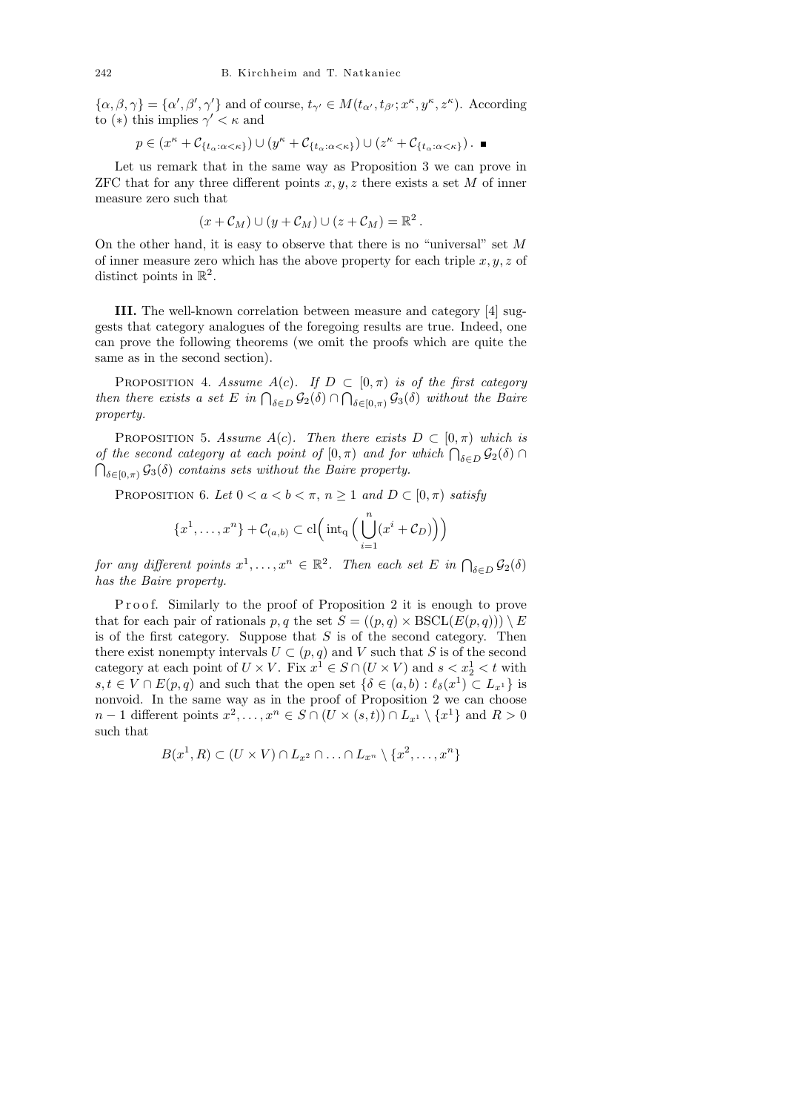$\{\alpha,\beta,\gamma\} = \{\alpha',\beta',\gamma'\}$  and of course,  $t_{\gamma'} \in M(t_{\alpha'}, t_{\beta'}; x^{\kappa}, y^{\kappa}, z^{\kappa})$ . According to (\*) this implies  $\gamma' < \kappa$  and

$$
p\in (x^{\kappa}+\mathcal{C}_{\{t_{\alpha}:\alpha<\kappa\}})\cup (y^{\kappa}+\mathcal{C}_{\{t_{\alpha}:\alpha<\kappa\}})\cup (z^{\kappa}+\mathcal{C}_{\{t_{\alpha}:\alpha<\kappa\}})\,.
$$

Let us remark that in the same way as Proposition 3 we can prove in ZFC that for any three different points  $x, y, z$  there exists a set M of inner measure zero such that

$$
(x+\mathcal{C}_M) \cup (y+\mathcal{C}_M) \cup (z+\mathcal{C}_M) = \mathbb{R}^2.
$$

On the other hand, it is easy to observe that there is no "universal" set  $M$ of inner measure zero which has the above property for each triple  $x, y, z$  of distinct points in  $\mathbb{R}^2$ .

III. The well-known correlation between measure and category [4] suggests that category analogues of the foregoing results are true. Indeed, one can prove the following theorems (we omit the proofs which are quite the same as in the second section).

PROPOSITION 4. Assume  $A(c)$ . If  $D \subset [0, \pi)$  is of the first category then there exists a set E in  $\bigcap_{\delta \in D} \mathcal{G}_2(\delta) \cap \bigcap_{\delta \in [0,\pi)} \mathcal{G}_3(\delta)$  without the Baire property.

PROPOSITION 5. Assume  $A(c)$ . Then there exists  $D \subset [0, \pi)$  which is of the second category at each point of  $[0, \pi)$  and for which  $\bigcap_{\delta \in D} \mathcal{G}_2(\delta)$  $\bigcap_{\delta \in [0,\pi)} \mathcal{G}_3(\delta)$  contains sets without the Baire property.

PROPOSITION 6. Let  $0 < a < b < \pi$ ,  $n \ge 1$  and  $D \subset [0, \pi)$  satisfy

$$
\{x^1, \ldots, x^n\} + C_{(a,b)} \subset \mathrm{cl}\Big(\mathrm{int}_{\mathrm{q}}\Big(\bigcup_{i=1}^n (x^i + C_D)\Big)\Big)
$$

for any different points  $x^1, \ldots, x^n \in \mathbb{R}^2$ . Then each set E in  $\bigcap_{\delta \in D} \mathcal{G}_2(\delta)$ has the Baire property.

Proof. Similarly to the proof of Proposition 2 it is enough to prove that for each pair of rationals p, q the set  $S = ((p, q) \times BSCL(E(p, q))) \setminus E$ is of the first category. Suppose that  $S$  is of the second category. Then there exist nonempty intervals  $U \subset (p, q)$  and V such that S is of the second category at each point of  $U \times V$ . Fix  $x^1 \in S \cap (U \times V)$  and  $s < x^1$   $\le t$  with  $s, t \in V \cap E(p, q)$  and such that the open set  $\{\delta \in (a, b) : \ell_{\delta}(x^1) \subset L_{x^1}\}\$ is nonvoid. In the same way as in the proof of Proposition 2 we can choose  $n-1$  different points  $x^2, \ldots, x^n \in S \cap (U \times (s,t)) \cap L_{x^1} \setminus \{x^1\}$  and  $R > 0$ such that

$$
B(x^1, R) \subset (U \times V) \cap L_{x^2} \cap \ldots \cap L_{x^n} \setminus \{x^2, \ldots, x^n\}
$$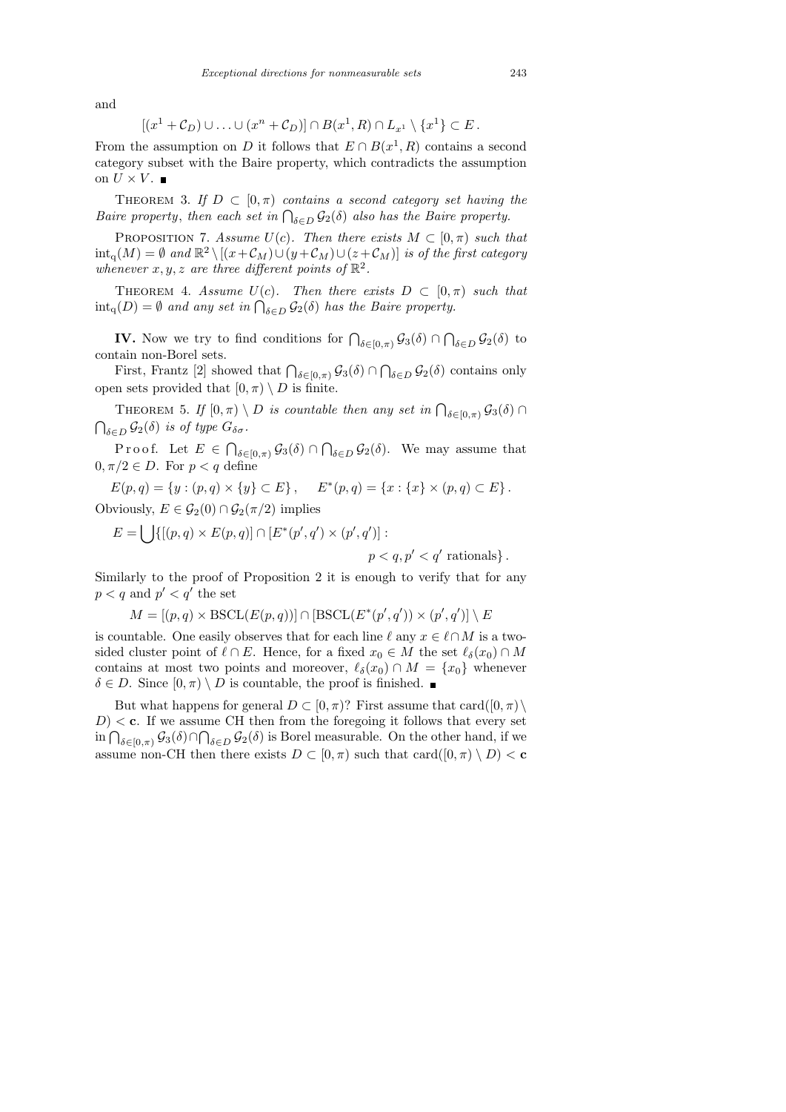and

$$
[(x^1 + C_D) \cup \ldots \cup (x^n + C_D)] \cap B(x^1, R) \cap L_{x^1} \setminus \{x^1\} \subset E.
$$

From the assumption on D it follows that  $E \cap B(x^1, R)$  contains a second category subset with the Baire property, which contradicts the assumption on  $U \times V$ .

THEOREM 3. If  $D \subset [0, \pi)$  contains a second category set having the Baire property, then each set in  $\bigcap_{\delta \in D} \mathcal{G}_2(\delta)$  also has the Baire property.

PROPOSITION 7. Assume  $U(c)$ . Then there exists  $M \subset [0, \pi)$  such that  $\text{int}_{\mathcal{A}}(M) = \emptyset$  and  $\mathbb{R}^2 \setminus [(x+\mathcal{C}_M) \cup (y+\mathcal{C}_M) \cup (z+\mathcal{C}_M)]$  is of the first category whenever  $x, y, z$  are three different points of  $\mathbb{R}^2$ .

THEOREM 4. Assume  $U(c)$ . Then there exists  $D \subset [0, \pi)$  such that  $\text{int}_{q}(D) = \emptyset$  and any set in  $\bigcap_{\delta \in D} \mathcal{G}_{2}(\delta)$  has the Baire property.

**IV.** Now we try to find conditions for  $\bigcap_{\delta \in [0,\pi)} \mathcal{G}_3(\delta) \cap \bigcap_{\delta \in D} \mathcal{G}_2(\delta)$  to contain non-Borel sets.

First, Frantz [2] showed that  $\bigcap_{\delta \in [0,\pi)} \mathcal{G}_3(\delta) \cap \bigcap_{\delta \in D} \mathcal{G}_2(\delta)$  contains only open sets provided that  $[0, \pi) \setminus D$  is finite.

THEOREM 5. If  $[0, \pi) \setminus D$  is countable then any set in  $\bigcap_{\delta \in [0, \pi)} \mathcal{G}_{3}(\delta)$  $\bigcap_{\delta \in D} \mathcal{G}_2(\delta)$  is of type  $G_{\delta \sigma}$ .

Proof. Let  $E \in \bigcap_{\delta \in [0,\pi)} \mathcal{G}_{3}(\delta) \cap \bigcap_{\delta \in D} \mathcal{G}_{2}(\delta)$ . We may assume that  $0, \pi/2 \in D$ . For  $p < q$  define

 $E(p,q) = \{y : (p,q) \times \{y\} \subset E\}, \quad E^*(p,q) = \{x : \{x\} \times (p,q) \subset E\}.$ Obviously,  $E \in \mathcal{G}_2(0) \cap \mathcal{G}_2(\pi/2)$  implies

$$
E = \bigcup \{ [(p, q) \times E(p, q)] \cap [E^*(p', q') \times (p', q')] :
$$

 $p < q, p' < q'$  rationals}.

Similarly to the proof of Proposition 2 it is enough to verify that for any  $p < q$  and  $p' < q'$  the set

$$
M = [(p, q) \times \text{BSCL}(E(p, q))] \cap [\text{BSCL}(E^*(p', q')) \times (p', q')] \setminus E
$$

is countable. One easily observes that for each line  $\ell$  any  $x \in \ell \cap M$  is a twosided cluster point of  $\ell \cap E$ . Hence, for a fixed  $x_0 \in M$  the set  $\ell_{\delta}(x_0) \cap M$ contains at most two points and moreover,  $\ell_{\delta}(x_0) \cap M = \{x_0\}$  whenever  $\delta \in D$ . Since  $[0, \pi) \setminus D$  is countable, the proof is finished.

But what happens for general  $D \subset [0, \pi)$ ? First assume that card $([0, \pi) \setminus$  $D$  < c. If we assume CH then from the foregoing it follows that every set in  $\bigcap_{\delta \in [0,\pi)} \mathcal{G}_3(\delta) \cap \bigcap_{\delta \in D} \mathcal{G}_2(\delta)$  is Borel measurable. On the other hand, if we assume non-CH then there exists  $D \subset [0, \pi)$  such that  $card([0, \pi) \setminus D) < \mathbf{c}$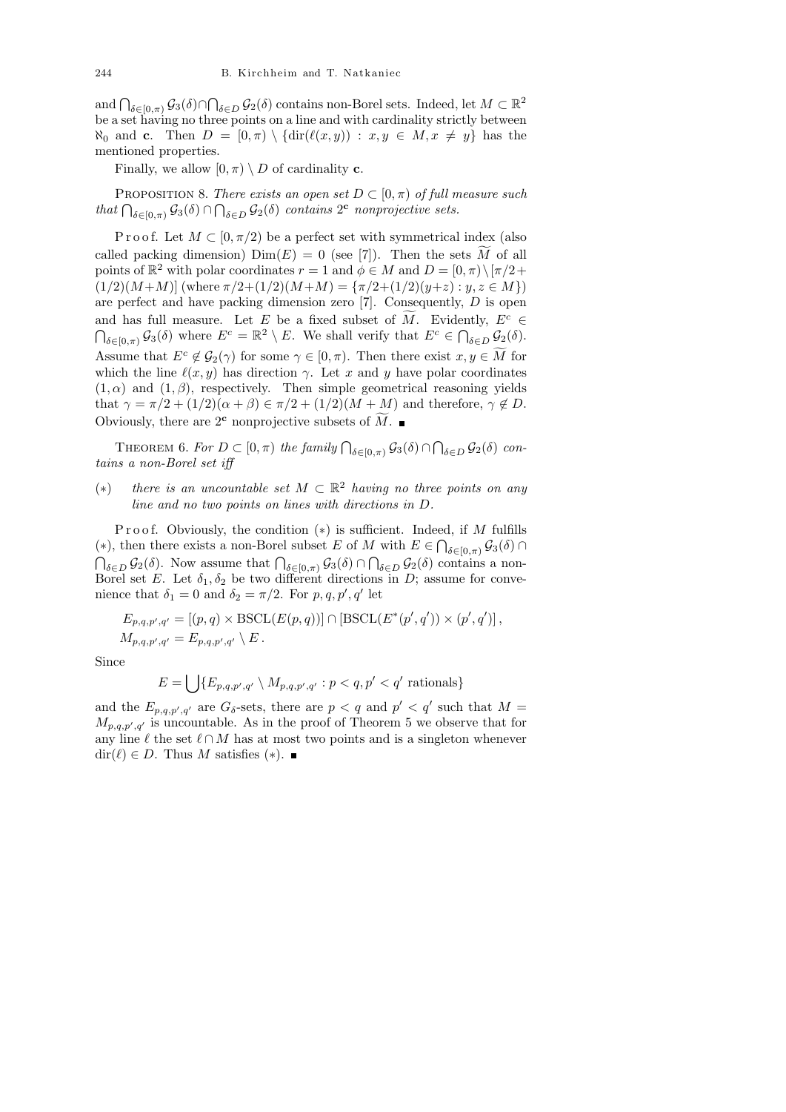and  $\bigcap_{\delta \in [0,\pi)} \mathcal{G}_3(\delta) \cap \bigcap_{\delta \in D} \mathcal{G}_2(\delta)$  contains non-Borel sets. Indeed, let  $M \subset \mathbb{R}^2$ be a set having no three points on a line and with cardinality strictly between  $\aleph_0$  and c. Then  $D = [0, \pi) \setminus \{ \text{dir}(\ell(x, y)) : x, y \in M, x \neq y \}$  has the mentioned properties.

Finally, we allow  $[0, \pi) \setminus D$  of cardinality **c**.

PROPOSITION 8. There exists an open set  $D \subset [0, \pi)$  of full measure such that  $\bigcap_{\delta \in [0,\pi)} \mathcal{G}_3(\delta) \cap \bigcap_{\delta \in D} \mathcal{G}_2(\delta)$  contains  $2^c$  nonprojective sets.

P r o o f. Let  $M \subset [0, \pi/2)$  be a perfect set with symmetrical index (also called packing dimension)  $\text{Dim}(E) = 0$  (see [7]). Then the sets M of all points of  $\mathbb{R}^2$  with polar coordinates  $r = 1$  and  $\phi \in M$  and  $D = [0, \pi) \setminus [\pi/2 +$  $(1/2)(M+M)$ ] (where  $\pi/2+(1/2)(M+M) = {\pi/2+(1/2)(y+z) : y, z \in M}$ ) are perfect and have packing dimension zero [7]. Consequently, D is open and has full measure. Let E be a fixed subset of M. Evidently,  $E^c \in$  $\bigcap_{\delta \in [0,\pi)} \mathcal{G}_3(\delta)$  where  $E^c = \mathbb{R}^2 \setminus E$ . We shall verify that  $E^c \in \bigcap_{\delta \in D} \mathcal{G}_2(\delta)$ . Assume that  $E^c \notin \mathcal{G}_2(\gamma)$  for some  $\gamma \in [0, \pi)$ . Then there exist  $x, y \in \tilde{M}$  for which the line  $\ell(x, y)$  has direction  $\gamma$ . Let x and y have polar coordinates  $(1, \alpha)$  and  $(1, \beta)$ , respectively. Then simple geometrical reasoning yields that  $\gamma = \pi/2 + (1/2)(\alpha + \beta) \in \pi/2 + (1/2)(M + M)$  and therefore,  $\gamma \notin D$ . Obviously, there are  $2^{\mathbf{c}}$  nonprojective subsets of  $\widetilde{M}$ .

THEOREM 6. For  $D \subset [0, \pi)$  the family  $\bigcap_{\delta \in [0, \pi)} \mathcal{G}_{3}(\delta) \cap \bigcap_{\delta \in D} \mathcal{G}_{2}(\delta)$  contains a non-Borel set iff

(\*) there is an uncountable set  $M \subset \mathbb{R}^2$  having no three points on any line and no two points on lines with directions in D.

Proof. Obviously, the condition  $(*)$  is sufficient. Indeed, if M fulfills (\*), then there exists a non-Borel subset E of M with  $E \in \bigcap_{\delta \in [0,\pi)} \mathcal{G}_3(\delta) \cap$  $\bigcap_{\delta \in D} \mathcal{G}_2(\delta)$ . Now assume that  $\bigcap_{\delta \in [0,\pi)} \mathcal{G}_3(\delta) \cap \bigcap_{\delta \in D} \mathcal{G}_2(\delta)$  contains a non-Borel set E. Let  $\delta_1, \delta_2$  be two different directions in D; assume for convenience that  $\delta_1 = 0$  and  $\delta_2 = \pi/2$ . For  $p, q, p', q'$  let

$$
E_{p,q,p',q'} = [(p,q) \times \text{BSCL}(E(p,q))] \cap [\text{BSCL}(E^*(p',q')) \times (p',q')],
$$
  

$$
M_{p,q,p',q'} = E_{p,q,p',q'} \setminus E.
$$

Since

$$
E = \bigcup \{ E_{p,q,p',q'} \setminus M_{p,q,p',q'} : p < q, p' < q' \text{ rationals} \}
$$

and the  $E_{p,q,p',q'}$  are  $G_{\delta}$ -sets, there are  $p < q$  and  $p' < q'$  such that  $M =$  $M_{p,q,p',q'}$  is uncountable. As in the proof of Theorem 5 we observe that for any line  $\ell$  the set  $\ell \cap M$  has at most two points and is a singleton whenever  $\text{dir}(\ell) \in D$ . Thus M satisfies (\*).